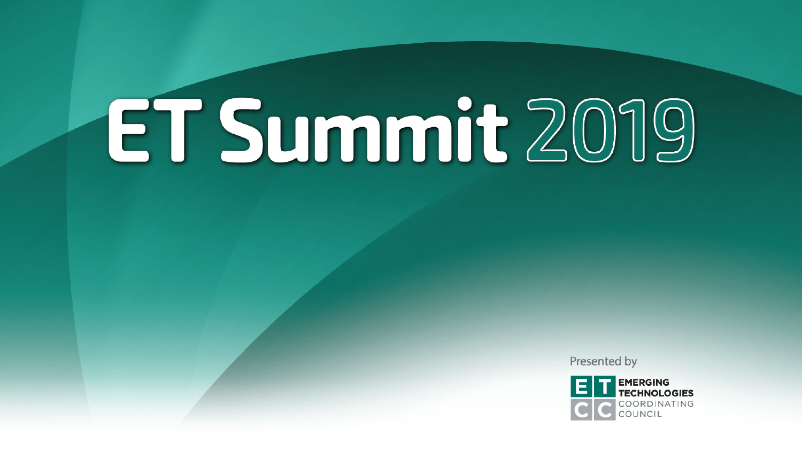Presented by

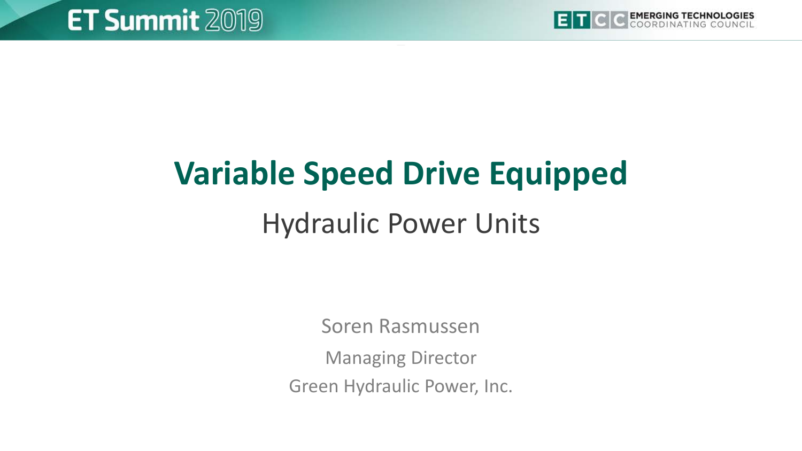

## **Variable Speed Drive Equipped** Hydraulic Power Units

Soren Rasmussen

Managing Director

Green Hydraulic Power, Inc.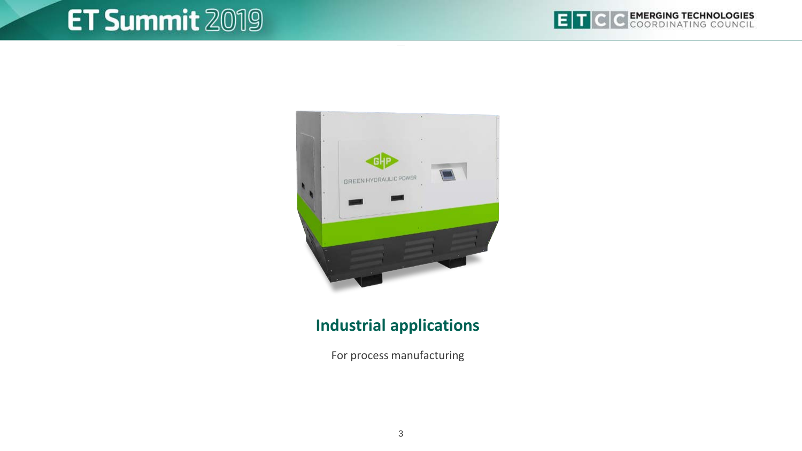



#### **Industrial applications**

For process manufacturing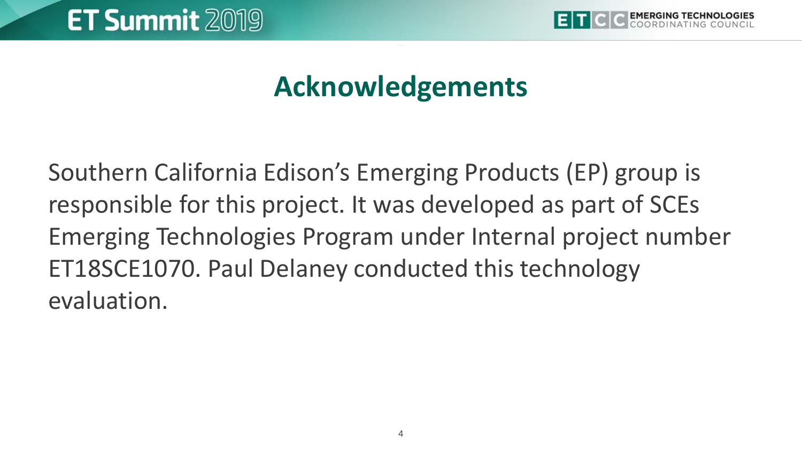

#### **Acknowledgements**

Southern California Edison's Emerging Products (EP) group is responsible for this project. It was developed as part of SCEs Emerging Technologies Program under Internal project number ET18SCE1070. Paul Delaney conducted this technology evaluation.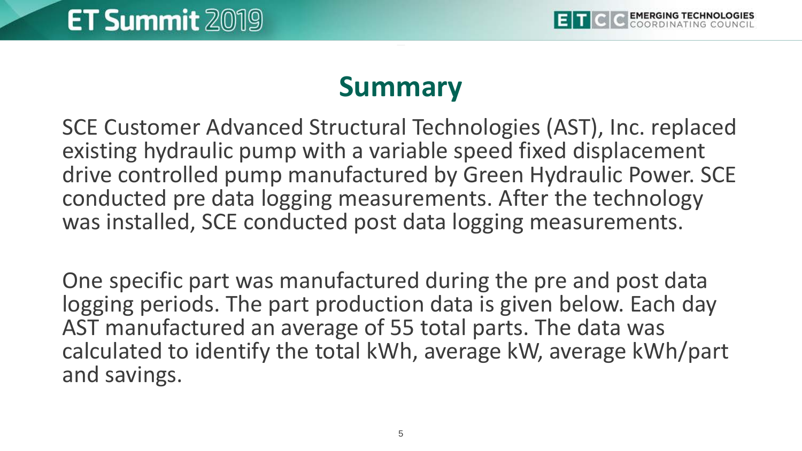#### **Summary**

SCE Customer Advanced Structural Technologies (AST), Inc. replaced existing hydraulic pump with a variable speed fixed displacement drive controlled pump manufactured by Green Hydraulic Power. SCE conducted pre data logging measurements. After the technology was installed, SCE conducted post data logging measurements.

One specific part was manufactured during the pre and post data logging periods. The part production data is given below. Each day AST manufactured an average of 55 total parts. The data was calculated to identify the total kWh, average kW, average kWh/part and savings.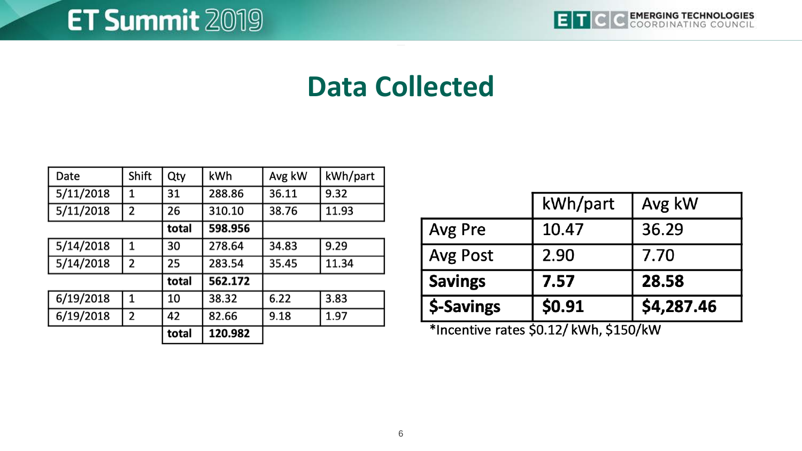#### **Data Collected**

| Date      | Shift | Qty   | kWh     | Avg kW | kWh/part |
|-----------|-------|-------|---------|--------|----------|
| 5/11/2018 | 1     | 31    | 288.86  | 36.11  | 9.32     |
| 5/11/2018 | 2     | 26    | 310.10  | 38.76  | 11.93    |
|           |       | total | 598.956 |        |          |
| 5/14/2018 | 1     | 30    | 278.64  | 34.83  | 9.29     |
| 5/14/2018 | 2     | 25    | 283.54  | 35.45  | 11.34    |
|           |       | total | 562.172 |        |          |
| 6/19/2018 | 1     | 10    | 38.32   | 6.22   | 3.83     |
| 6/19/2018 | 2     | 42    | 82.66   | 9.18   | 1.97     |
|           |       | total | 120.982 |        |          |

|                | kWh/part | Avg kW     |
|----------------|----------|------------|
| Avg Pre        | 10.47    | 36.29      |
| Avg Post       | 2.90     | 7.70       |
| <b>Savings</b> | 7.57     | 28.58      |
| \$-Savings     | \$0.91   | \$4,287.46 |

\*Incentive rates \$0.12/ kWh, \$150/kW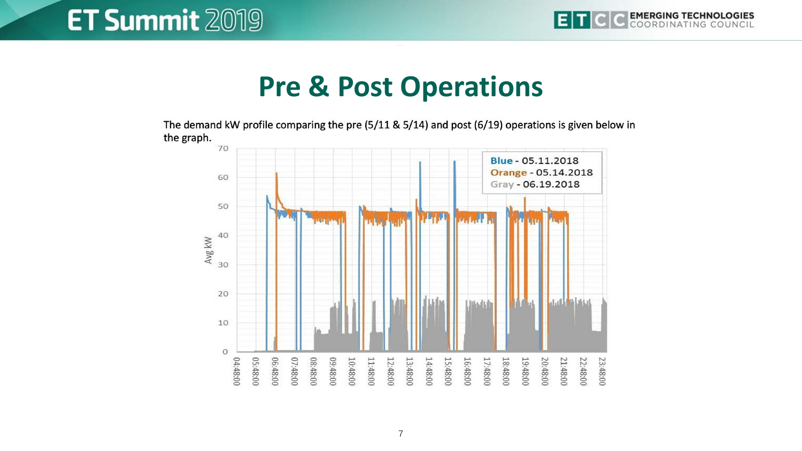#### **Pre & Post Operations**

The demand kW profile comparing the pre (5/11 & 5/14) and post (6/19) operations is given below in the graph.

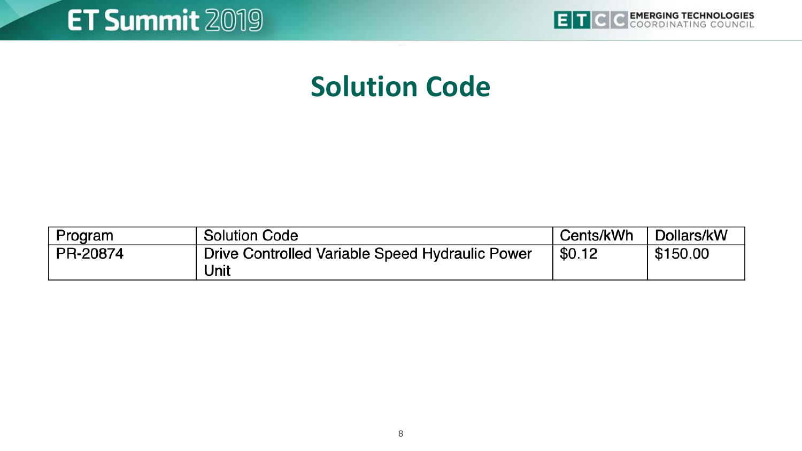

#### **Solution Code**

| Program  | <b>Solution Code</b>                            | Cents/kWh | Dollars/kW |
|----------|-------------------------------------------------|-----------|------------|
| PR-20874 | Drive Controlled Variable Speed Hydraulic Power | \$0.12    | \$150.00   |
|          | Unit                                            |           |            |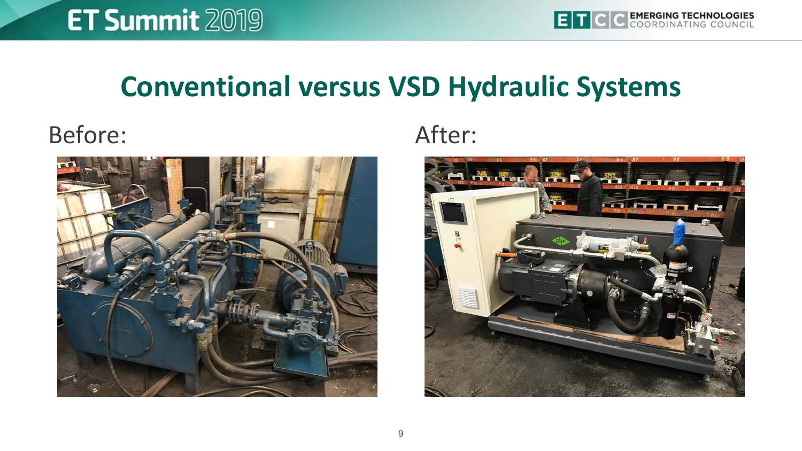#### **Conventional versus VSD Hydraulic Systems**

#### Before: After:



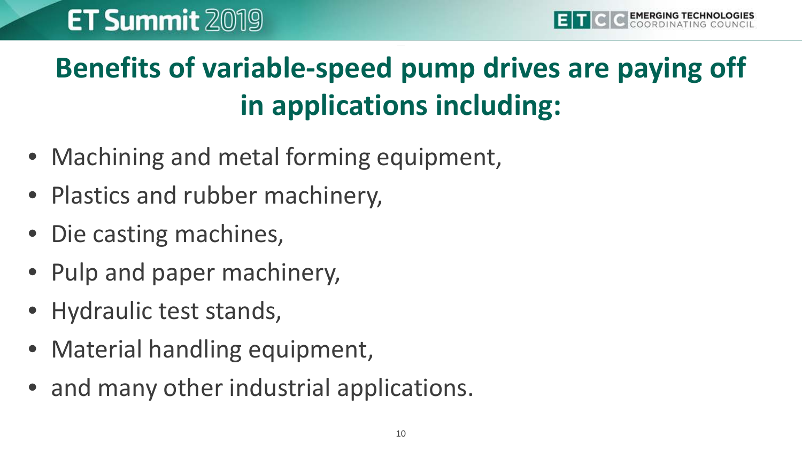## **Benefits of variable-speed pump drives are paying off in applications including:**

- Machining and metal forming equipment,
- Plastics and rubber machinery,
- Die casting machines,
- Pulp and paper machinery,
- Hydraulic test stands,
- Material handling equipment,
- and many other industrial applications.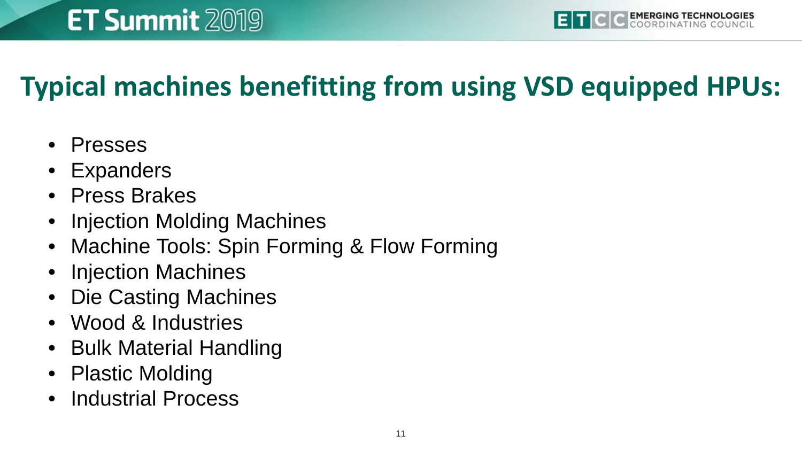#### **Typical machines benefitting from using VSD equipped HPUs:**

- Presses
- **Expanders**
- Press Brakes
- Injection Molding Machines
- Machine Tools: Spin Forming & Flow Forming
- Injection Machines
- Die Casting Machines
- Wood & Industries
- Bulk Material Handling
- Plastic Molding
- Industrial Process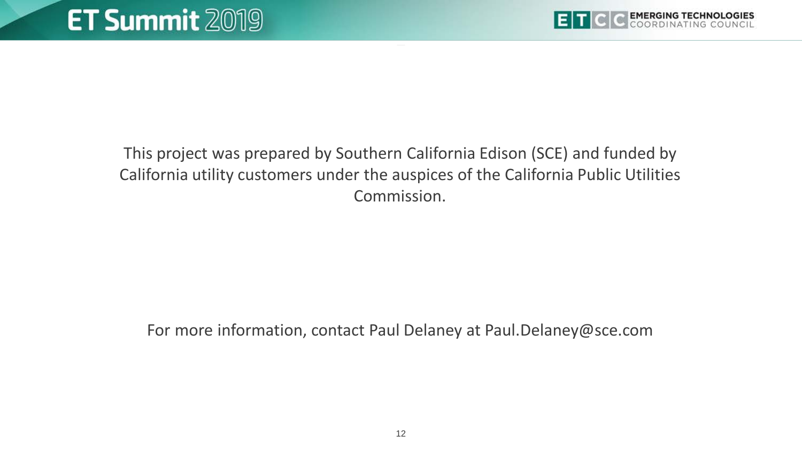

This project was prepared by Southern California Edison (SCE) and funded by California utility customers under the auspices of the California Public Utilities Commission.

For more information, contact Paul Delaney at Paul.Delaney@sce.com